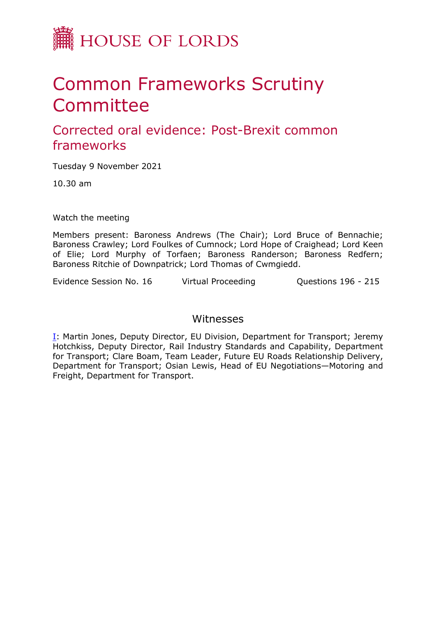

# Common Frameworks Scrutiny Committee

Corrected oral evidence: Post-Brexit common frameworks

Tuesday 9 November 2021

10.30 am

Watch the meeting

Members present: Baroness Andrews (The Chair); Lord Bruce of Bennachie; Baroness Crawley; Lord Foulkes of Cumnock; Lord Hope of Craighead; Lord Keen of Elie; Lord Murphy of Torfaen; Baroness Randerson; Baroness Redfern; Baroness Ritchie of Downpatrick; Lord Thomas of Cwmgiedd.

Evidence Session No. 16 Virtual Proceeding Questions 196 - 215

## Witnesses

[I:](#page-1-0) Martin Jones, Deputy Director, EU Division, Department for Transport; Jeremy Hotchkiss, Deputy Director, Rail Industry Standards and Capability, Department for Transport; Clare Boam, Team Leader, Future EU Roads Relationship Delivery, Department for Transport; Osian Lewis, Head of EU Negotiations—Motoring and Freight, Department for Transport.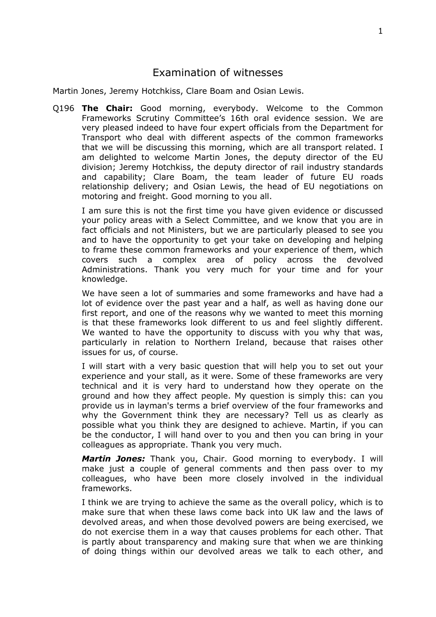## <span id="page-1-0"></span>Examination of witnesses

Martin Jones, Jeremy Hotchkiss, Clare Boam and Osian Lewis.

Q196 **The Chair:** Good morning, everybody. Welcome to the Common Frameworks Scrutiny Committee's 16th oral evidence session. We are very pleased indeed to have four expert officials from the Department for Transport who deal with different aspects of the common frameworks that we will be discussing this morning, which are all transport related. I am delighted to welcome Martin Jones, the deputy director of the EU division; Jeremy Hotchkiss, the deputy director of rail industry standards and capability; Clare Boam, the team leader of future EU roads relationship delivery; and Osian Lewis, the head of EU negotiations on motoring and freight. Good morning to you all.

I am sure this is not the first time you have given evidence or discussed your policy areas with a Select Committee, and we know that you are in fact officials and not Ministers, but we are particularly pleased to see you and to have the opportunity to get your take on developing and helping to frame these common frameworks and your experience of them, which covers such a complex area of policy across the devolved Administrations. Thank you very much for your time and for your knowledge.

We have seen a lot of summaries and some frameworks and have had a lot of evidence over the past year and a half, as well as having done our first report, and one of the reasons why we wanted to meet this morning is that these frameworks look different to us and feel slightly different. We wanted to have the opportunity to discuss with you why that was, particularly in relation to Northern Ireland, because that raises other issues for us, of course.

I will start with a very basic question that will help you to set out your experience and your stall, as it were. Some of these frameworks are very technical and it is very hard to understand how they operate on the ground and how they affect people. My question is simply this: can you provide us in layman's terms a brief overview of the four frameworks and why the Government think they are necessary? Tell us as clearly as possible what you think they are designed to achieve. Martin, if you can be the conductor, I will hand over to you and then you can bring in your colleagues as appropriate. Thank you very much.

*Martin Jones:* Thank you, Chair. Good morning to everybody. I will make just a couple of general comments and then pass over to my colleagues, who have been more closely involved in the individual frameworks.

I think we are trying to achieve the same as the overall policy, which is to make sure that when these laws come back into UK law and the laws of devolved areas, and when those devolved powers are being exercised, we do not exercise them in a way that causes problems for each other. That is partly about transparency and making sure that when we are thinking of doing things within our devolved areas we talk to each other, and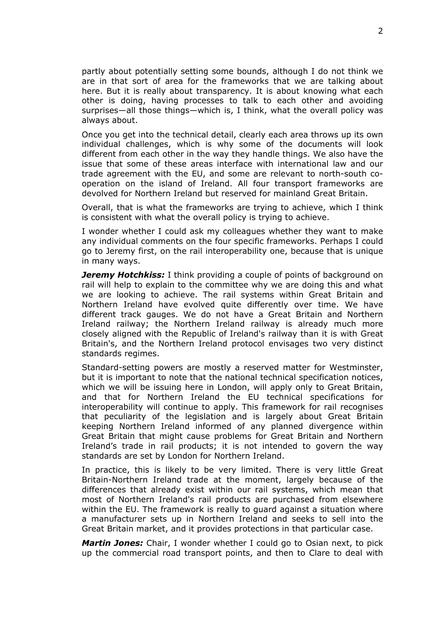partly about potentially setting some bounds, although I do not think we are in that sort of area for the frameworks that we are talking about here. But it is really about transparency. It is about knowing what each other is doing, having processes to talk to each other and avoiding surprises—all those things—which is, I think, what the overall policy was always about.

Once you get into the technical detail, clearly each area throws up its own individual challenges, which is why some of the documents will look different from each other in the way they handle things. We also have the issue that some of these areas interface with international law and our trade agreement with the EU, and some are relevant to north-south cooperation on the island of Ireland. All four transport frameworks are devolved for Northern Ireland but reserved for mainland Great Britain.

Overall, that is what the frameworks are trying to achieve, which I think is consistent with what the overall policy is trying to achieve.

I wonder whether I could ask my colleagues whether they want to make any individual comments on the four specific frameworks. Perhaps I could go to Jeremy first, on the rail interoperability one, because that is unique in many ways.

*Jeremy Hotchkiss:* I think providing a couple of points of background on rail will help to explain to the committee why we are doing this and what we are looking to achieve. The rail systems within Great Britain and Northern Ireland have evolved quite differently over time. We have different track gauges. We do not have a Great Britain and Northern Ireland railway; the Northern Ireland railway is already much more closely aligned with the Republic of Ireland's railway than it is with Great Britain's, and the Northern Ireland protocol envisages two very distinct standards regimes.

Standard-setting powers are mostly a reserved matter for Westminster, but it is important to note that the national technical specification notices, which we will be issuing here in London, will apply only to Great Britain, and that for Northern Ireland the EU technical specifications for interoperability will continue to apply. This framework for rail recognises that peculiarity of the legislation and is largely about Great Britain keeping Northern Ireland informed of any planned divergence within Great Britain that might cause problems for Great Britain and Northern Ireland's trade in rail products; it is not intended to govern the way standards are set by London for Northern Ireland.

In practice, this is likely to be very limited. There is very little Great Britain-Northern Ireland trade at the moment, largely because of the differences that already exist within our rail systems, which mean that most of Northern Ireland's rail products are purchased from elsewhere within the EU. The framework is really to guard against a situation where a manufacturer sets up in Northern Ireland and seeks to sell into the Great Britain market, and it provides protections in that particular case.

*Martin Jones:* Chair, I wonder whether I could go to Osian next, to pick up the commercial road transport points, and then to Clare to deal with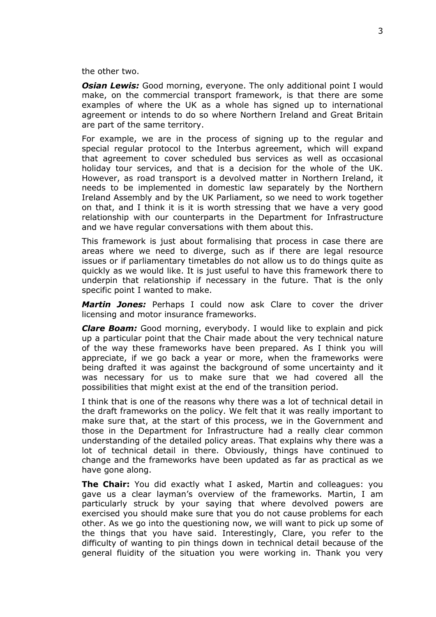the other two.

**Osian Lewis:** Good morning, everyone. The only additional point I would make, on the commercial transport framework, is that there are some examples of where the UK as a whole has signed up to international agreement or intends to do so where Northern Ireland and Great Britain are part of the same territory.

For example, we are in the process of signing up to the regular and special regular protocol to the Interbus agreement, which will expand that agreement to cover scheduled bus services as well as occasional holiday tour services, and that is a decision for the whole of the UK. However, as road transport is a devolved matter in Northern Ireland, it needs to be implemented in domestic law separately by the Northern Ireland Assembly and by the UK Parliament, so we need to work together on that, and I think it is it is worth stressing that we have a very good relationship with our counterparts in the Department for Infrastructure and we have regular conversations with them about this.

This framework is just about formalising that process in case there are areas where we need to diverge, such as if there are legal resource issues or if parliamentary timetables do not allow us to do things quite as quickly as we would like. It is just useful to have this framework there to underpin that relationship if necessary in the future. That is the only specific point I wanted to make.

*Martin Jones:* Perhaps I could now ask Clare to cover the driver licensing and motor insurance frameworks.

*Clare Boam:* Good morning, everybody. I would like to explain and pick up a particular point that the Chair made about the very technical nature of the way these frameworks have been prepared. As I think you will appreciate, if we go back a year or more, when the frameworks were being drafted it was against the background of some uncertainty and it was necessary for us to make sure that we had covered all the possibilities that might exist at the end of the transition period.

I think that is one of the reasons why there was a lot of technical detail in the draft frameworks on the policy. We felt that it was really important to make sure that, at the start of this process, we in the Government and those in the Department for Infrastructure had a really clear common understanding of the detailed policy areas. That explains why there was a lot of technical detail in there. Obviously, things have continued to change and the frameworks have been updated as far as practical as we have gone along.

**The Chair:** You did exactly what I asked, Martin and colleagues: you gave us a clear layman's overview of the frameworks. Martin, I am particularly struck by your saying that where devolved powers are exercised you should make sure that you do not cause problems for each other. As we go into the questioning now, we will want to pick up some of the things that you have said. Interestingly, Clare, you refer to the difficulty of wanting to pin things down in technical detail because of the general fluidity of the situation you were working in. Thank you very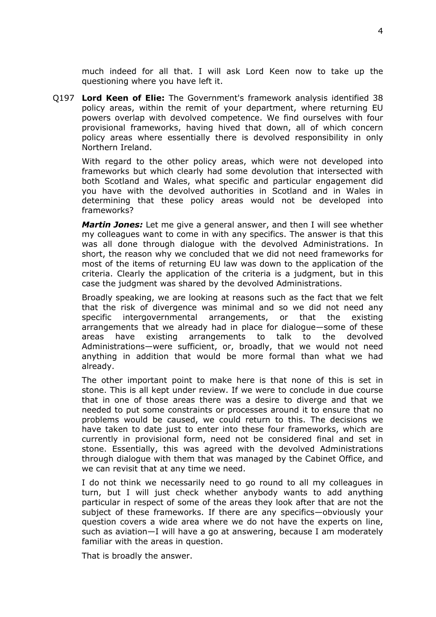much indeed for all that. I will ask Lord Keen now to take up the questioning where you have left it.

Q197 **Lord Keen of Elie:** The Government's framework analysis identified 38 policy areas, within the remit of your department, where returning EU powers overlap with devolved competence. We find ourselves with four provisional frameworks, having hived that down, all of which concern policy areas where essentially there is devolved responsibility in only Northern Ireland.

With regard to the other policy areas, which were not developed into frameworks but which clearly had some devolution that intersected with both Scotland and Wales, what specific and particular engagement did you have with the devolved authorities in Scotland and in Wales in determining that these policy areas would not be developed into frameworks?

*Martin Jones:* Let me give a general answer, and then I will see whether my colleagues want to come in with any specifics. The answer is that this was all done through dialogue with the devolved Administrations. In short, the reason why we concluded that we did not need frameworks for most of the items of returning EU law was down to the application of the criteria. Clearly the application of the criteria is a judgment, but in this case the judgment was shared by the devolved Administrations.

Broadly speaking, we are looking at reasons such as the fact that we felt that the risk of divergence was minimal and so we did not need any specific intergovernmental arrangements, or that the existing arrangements that we already had in place for dialogue—some of these areas have existing arrangements to talk to the devolved Administrations—were sufficient, or, broadly, that we would not need anything in addition that would be more formal than what we had already.

The other important point to make here is that none of this is set in stone. This is all kept under review. If we were to conclude in due course that in one of those areas there was a desire to diverge and that we needed to put some constraints or processes around it to ensure that no problems would be caused, we could return to this. The decisions we have taken to date just to enter into these four frameworks, which are currently in provisional form, need not be considered final and set in stone. Essentially, this was agreed with the devolved Administrations through dialogue with them that was managed by the Cabinet Office, and we can revisit that at any time we need.

I do not think we necessarily need to go round to all my colleagues in turn, but I will just check whether anybody wants to add anything particular in respect of some of the areas they look after that are not the subject of these frameworks. If there are any specifics—obviously your question covers a wide area where we do not have the experts on line, such as aviation—I will have a go at answering, because I am moderately familiar with the areas in question.

That is broadly the answer.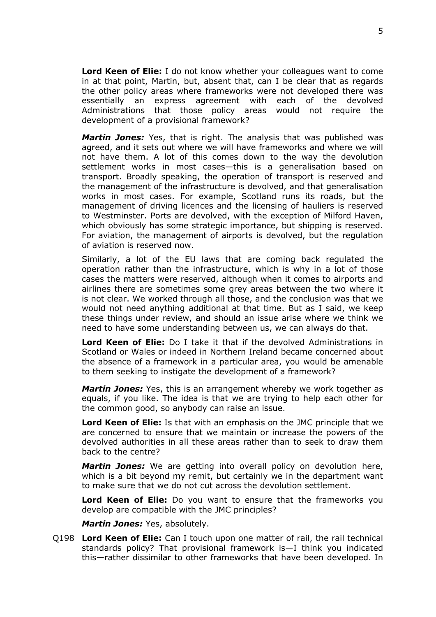**Lord Keen of Elie:** I do not know whether your colleagues want to come in at that point, Martin, but, absent that, can I be clear that as regards the other policy areas where frameworks were not developed there was essentially an express agreement with each of the devolved Administrations that those policy areas would not require the development of a provisional framework?

*Martin Jones:* Yes, that is right. The analysis that was published was agreed, and it sets out where we will have frameworks and where we will not have them. A lot of this comes down to the way the devolution settlement works in most cases—this is a generalisation based on transport. Broadly speaking, the operation of transport is reserved and the management of the infrastructure is devolved, and that generalisation works in most cases. For example, Scotland runs its roads, but the management of driving licences and the licensing of hauliers is reserved to Westminster. Ports are devolved, with the exception of Milford Haven, which obviously has some strategic importance, but shipping is reserved. For aviation, the management of airports is devolved, but the regulation of aviation is reserved now.

Similarly, a lot of the EU laws that are coming back regulated the operation rather than the infrastructure, which is why in a lot of those cases the matters were reserved, although when it comes to airports and airlines there are sometimes some grey areas between the two where it is not clear. We worked through all those, and the conclusion was that we would not need anything additional at that time. But as I said, we keep these things under review, and should an issue arise where we think we need to have some understanding between us, we can always do that.

**Lord Keen of Elie:** Do I take it that if the devolved Administrations in Scotland or Wales or indeed in Northern Ireland became concerned about the absence of a framework in a particular area, you would be amenable to them seeking to instigate the development of a framework?

*Martin Jones:* Yes, this is an arrangement whereby we work together as equals, if you like. The idea is that we are trying to help each other for the common good, so anybody can raise an issue.

**Lord Keen of Elie:** Is that with an emphasis on the JMC principle that we are concerned to ensure that we maintain or increase the powers of the devolved authorities in all these areas rather than to seek to draw them back to the centre?

*Martin Jones:* We are getting into overall policy on devolution here, which is a bit beyond my remit, but certainly we in the department want to make sure that we do not cut across the devolution settlement.

**Lord Keen of Elie:** Do you want to ensure that the frameworks you develop are compatible with the JMC principles?

*Martin Jones:* Yes, absolutely.

Q198 **Lord Keen of Elie:** Can I touch upon one matter of rail, the rail technical standards policy? That provisional framework is—I think you indicated this—rather dissimilar to other frameworks that have been developed. In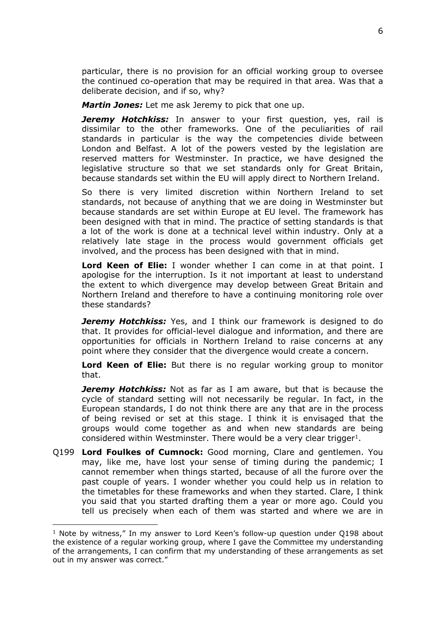particular, there is no provision for an official working group to oversee the continued co-operation that may be required in that area. Was that a deliberate decision, and if so, why?

*Martin Jones:* Let me ask Jeremy to pick that one up.

**Jeremy Hotchkiss:** In answer to your first question, yes, rail is dissimilar to the other frameworks. One of the peculiarities of rail standards in particular is the way the competencies divide between London and Belfast. A lot of the powers vested by the legislation are reserved matters for Westminster. In practice, we have designed the legislative structure so that we set standards only for Great Britain, because standards set within the EU will apply direct to Northern Ireland.

So there is very limited discretion within Northern Ireland to set standards, not because of anything that we are doing in Westminster but because standards are set within Europe at EU level. The framework has been designed with that in mind. The practice of setting standards is that a lot of the work is done at a technical level within industry. Only at a relatively late stage in the process would government officials get involved, and the process has been designed with that in mind.

**Lord Keen of Elie:** I wonder whether I can come in at that point. I apologise for the interruption. Is it not important at least to understand the extent to which divergence may develop between Great Britain and Northern Ireland and therefore to have a continuing monitoring role over these standards?

*Jeremy Hotchkiss:* Yes, and I think our framework is designed to do that. It provides for official-level dialogue and information, and there are opportunities for officials in Northern Ireland to raise concerns at any point where they consider that the divergence would create a concern.

**Lord Keen of Elie:** But there is no regular working group to monitor that.

*Jeremy Hotchkiss:* Not as far as I am aware, but that is because the cycle of standard setting will not necessarily be regular. In fact, in the European standards, I do not think there are any that are in the process of being revised or set at this stage. I think it is envisaged that the groups would come together as and when new standards are being considered within Westminster. There would be a very clear trigger<sup>1</sup>.

Q199 **Lord Foulkes of Cumnock:** Good morning, Clare and gentlemen. You may, like me, have lost your sense of timing during the pandemic; I cannot remember when things started, because of all the furore over the past couple of years. I wonder whether you could help us in relation to the timetables for these frameworks and when they started. Clare, I think you said that you started drafting them a year or more ago. Could you tell us precisely when each of them was started and where we are in

<sup>&</sup>lt;sup>1</sup> Note by witness," In my answer to Lord Keen's follow-up question under Q198 about the existence of a regular working group, where I gave the Committee my understanding of the arrangements, I can confirm that my understanding of these arrangements as set out in my answer was correct."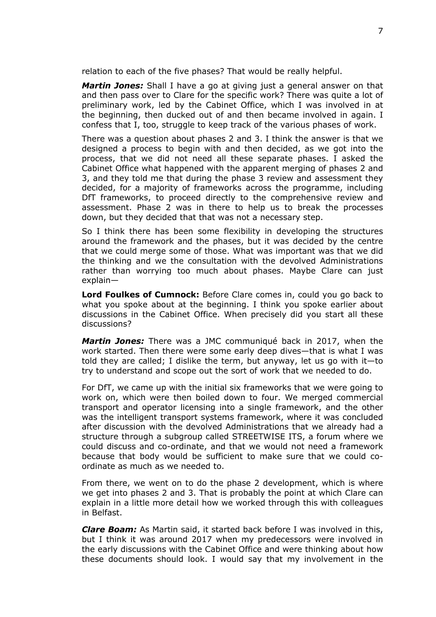relation to each of the five phases? That would be really helpful.

*Martin Jones:* Shall I have a go at giving just a general answer on that and then pass over to Clare for the specific work? There was quite a lot of preliminary work, led by the Cabinet Office, which I was involved in at the beginning, then ducked out of and then became involved in again. I confess that I, too, struggle to keep track of the various phases of work.

There was a question about phases 2 and 3. I think the answer is that we designed a process to begin with and then decided, as we got into the process, that we did not need all these separate phases. I asked the Cabinet Office what happened with the apparent merging of phases 2 and 3, and they told me that during the phase 3 review and assessment they decided, for a majority of frameworks across the programme, including DfT frameworks, to proceed directly to the comprehensive review and assessment. Phase 2 was in there to help us to break the processes down, but they decided that that was not a necessary step.

So I think there has been some flexibility in developing the structures around the framework and the phases, but it was decided by the centre that we could merge some of those. What was important was that we did the thinking and we the consultation with the devolved Administrations rather than worrying too much about phases. Maybe Clare can just explain—

**Lord Foulkes of Cumnock:** Before Clare comes in, could you go back to what you spoke about at the beginning. I think you spoke earlier about discussions in the Cabinet Office. When precisely did you start all these discussions?

*Martin Jones:* There was a JMC communiqué back in 2017, when the work started. Then there were some early deep dives—that is what I was told they are called; I dislike the term, but anyway, let us go with it—to try to understand and scope out the sort of work that we needed to do.

For DfT, we came up with the initial six frameworks that we were going to work on, which were then boiled down to four. We merged commercial transport and operator licensing into a single framework, and the other was the intelligent transport systems framework, where it was concluded after discussion with the devolved Administrations that we already had a structure through a subgroup called STREETWISE ITS, a forum where we could discuss and co-ordinate, and that we would not need a framework because that body would be sufficient to make sure that we could coordinate as much as we needed to.

From there, we went on to do the phase 2 development, which is where we get into phases 2 and 3. That is probably the point at which Clare can explain in a little more detail how we worked through this with colleagues in Belfast.

*Clare Boam:* As Martin said, it started back before I was involved in this, but I think it was around 2017 when my predecessors were involved in the early discussions with the Cabinet Office and were thinking about how these documents should look. I would say that my involvement in the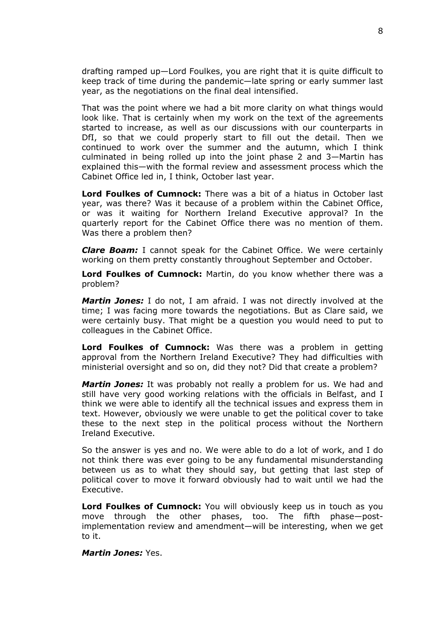drafting ramped up—Lord Foulkes, you are right that it is quite difficult to keep track of time during the pandemic—late spring or early summer last year, as the negotiations on the final deal intensified.

That was the point where we had a bit more clarity on what things would look like. That is certainly when my work on the text of the agreements started to increase, as well as our discussions with our counterparts in DfI, so that we could properly start to fill out the detail. Then we continued to work over the summer and the autumn, which I think culminated in being rolled up into the joint phase 2 and 3—Martin has explained this—with the formal review and assessment process which the Cabinet Office led in, I think, October last year.

**Lord Foulkes of Cumnock:** There was a bit of a hiatus in October last year, was there? Was it because of a problem within the Cabinet Office, or was it waiting for Northern Ireland Executive approval? In the quarterly report for the Cabinet Office there was no mention of them. Was there a problem then?

*Clare Boam:* I cannot speak for the Cabinet Office. We were certainly working on them pretty constantly throughout September and October.

**Lord Foulkes of Cumnock:** Martin, do you know whether there was a problem?

*Martin Jones:* I do not, I am afraid. I was not directly involved at the time; I was facing more towards the negotiations. But as Clare said, we were certainly busy. That might be a question you would need to put to colleagues in the Cabinet Office.

**Lord Foulkes of Cumnock:** Was there was a problem in getting approval from the Northern Ireland Executive? They had difficulties with ministerial oversight and so on, did they not? Did that create a problem?

*Martin Jones:* It was probably not really a problem for us. We had and still have very good working relations with the officials in Belfast, and I think we were able to identify all the technical issues and express them in text. However, obviously we were unable to get the political cover to take these to the next step in the political process without the Northern Ireland Executive.

So the answer is yes and no. We were able to do a lot of work, and I do not think there was ever going to be any fundamental misunderstanding between us as to what they should say, but getting that last step of political cover to move it forward obviously had to wait until we had the Executive.

**Lord Foulkes of Cumnock:** You will obviously keep us in touch as you move through the other phases, too. The fifth phase—postimplementation review and amendment—will be interesting, when we get to it.

*Martin Jones:* Yes.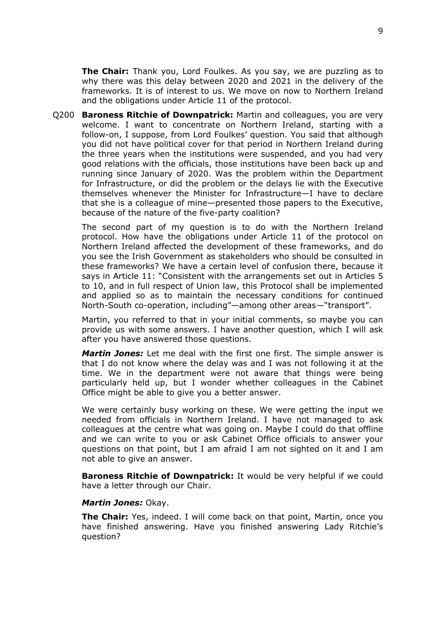**The Chair:** Thank you, Lord Foulkes. As you say, we are puzzling as to why there was this delay between 2020 and 2021 in the delivery of the frameworks. It is of interest to us. We move on now to Northern Ireland and the obligations under Article 11 of the protocol.

Q200 **Baroness Ritchie of Downpatrick:** Martin and colleagues, you are very welcome. I want to concentrate on Northern Ireland, starting with a follow-on, I suppose, from Lord Foulkes' question. You said that although you did not have political cover for that period in Northern Ireland during the three years when the institutions were suspended, and you had very good relations with the officials, those institutions have been back up and running since January of 2020. Was the problem within the Department for Infrastructure, or did the problem or the delays lie with the Executive themselves whenever the Minister for Infrastructure—I have to declare that she is a colleague of mine—presented those papers to the Executive, because of the nature of the five-party coalition?

The second part of my question is to do with the Northern Ireland protocol. How have the obligations under Article 11 of the protocol on Northern Ireland affected the development of these frameworks, and do you see the Irish Government as stakeholders who should be consulted in these frameworks? We have a certain level of confusion there, because it says in Article 11: "Consistent with the arrangements set out in Articles 5 to 10, and in full respect of Union law, this Protocol shall be implemented and applied so as to maintain the necessary conditions for continued North-South co-operation, including"—among other areas—"transport".

Martin, you referred to that in your initial comments, so maybe you can provide us with some answers. I have another question, which I will ask after you have answered those questions.

*Martin Jones:* Let me deal with the first one first. The simple answer is that I do not know where the delay was and I was not following it at the time. We in the department were not aware that things were being particularly held up, but I wonder whether colleagues in the Cabinet Office might be able to give you a better answer.

We were certainly busy working on these. We were getting the input we needed from officials in Northern Ireland. I have not managed to ask colleagues at the centre what was going on. Maybe I could do that offline and we can write to you or ask Cabinet Office officials to answer your questions on that point, but I am afraid I am not sighted on it and I am not able to give an answer.

**Baroness Ritchie of Downpatrick:** It would be very helpful if we could have a letter through our Chair.

#### *Martin Jones:* Okay.

**The Chair:** Yes, indeed. I will come back on that point, Martin, once you have finished answering. Have you finished answering Lady Ritchie's question?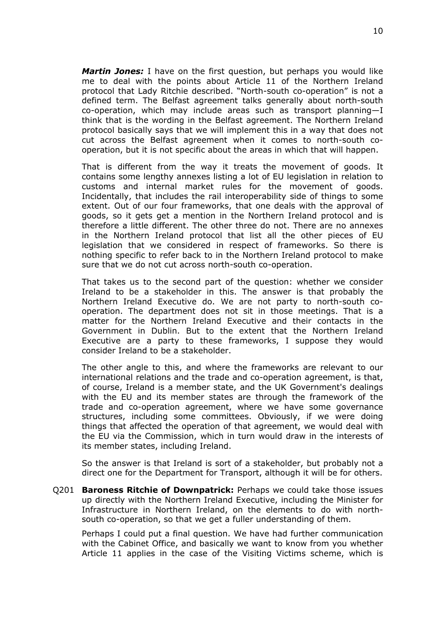*Martin Jones:* I have on the first question, but perhaps you would like me to deal with the points about Article 11 of the Northern Ireland protocol that Lady Ritchie described. "North-south co-operation" is not a defined term. The Belfast agreement talks generally about north-south co-operation, which may include areas such as transport planning—I think that is the wording in the Belfast agreement. The Northern Ireland protocol basically says that we will implement this in a way that does not cut across the Belfast agreement when it comes to north-south cooperation, but it is not specific about the areas in which that will happen.

That is different from the way it treats the movement of goods. It contains some lengthy annexes listing a lot of EU legislation in relation to customs and internal market rules for the movement of goods. Incidentally, that includes the rail interoperability side of things to some extent. Out of our four frameworks, that one deals with the approval of goods, so it gets get a mention in the Northern Ireland protocol and is therefore a little different. The other three do not. There are no annexes in the Northern Ireland protocol that list all the other pieces of EU legislation that we considered in respect of frameworks. So there is nothing specific to refer back to in the Northern Ireland protocol to make sure that we do not cut across north-south co-operation.

That takes us to the second part of the question: whether we consider Ireland to be a stakeholder in this. The answer is that probably the Northern Ireland Executive do. We are not party to north-south cooperation. The department does not sit in those meetings. That is a matter for the Northern Ireland Executive and their contacts in the Government in Dublin. But to the extent that the Northern Ireland Executive are a party to these frameworks, I suppose they would consider Ireland to be a stakeholder.

The other angle to this, and where the frameworks are relevant to our international relations and the trade and co-operation agreement, is that, of course, Ireland is a member state, and the UK Government's dealings with the EU and its member states are through the framework of the trade and co-operation agreement, where we have some governance structures, including some committees. Obviously, if we were doing things that affected the operation of that agreement, we would deal with the EU via the Commission, which in turn would draw in the interests of its member states, including Ireland.

So the answer is that Ireland is sort of a stakeholder, but probably not a direct one for the Department for Transport, although it will be for others.

Q201 **Baroness Ritchie of Downpatrick:** Perhaps we could take those issues up directly with the Northern Ireland Executive, including the Minister for Infrastructure in Northern Ireland, on the elements to do with northsouth co-operation, so that we get a fuller understanding of them.

Perhaps I could put a final question. We have had further communication with the Cabinet Office, and basically we want to know from you whether Article 11 applies in the case of the Visiting Victims scheme, which is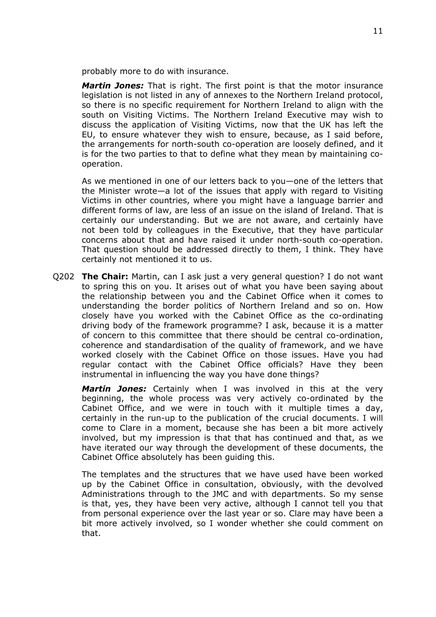probably more to do with insurance.

*Martin Jones:* That is right. The first point is that the motor insurance legislation is not listed in any of annexes to the Northern Ireland protocol, so there is no specific requirement for Northern Ireland to align with the south on Visiting Victims. The Northern Ireland Executive may wish to discuss the application of Visiting Victims, now that the UK has left the EU, to ensure whatever they wish to ensure, because, as I said before, the arrangements for north-south co-operation are loosely defined, and it is for the two parties to that to define what they mean by maintaining cooperation.

As we mentioned in one of our letters back to you—one of the letters that the Minister wrote—a lot of the issues that apply with regard to Visiting Victims in other countries, where you might have a language barrier and different forms of law, are less of an issue on the island of Ireland. That is certainly our understanding. But we are not aware, and certainly have not been told by colleagues in the Executive, that they have particular concerns about that and have raised it under north-south co-operation. That question should be addressed directly to them, I think. They have certainly not mentioned it to us.

Q202 **The Chair:** Martin, can I ask just a very general question? I do not want to spring this on you. It arises out of what you have been saying about the relationship between you and the Cabinet Office when it comes to understanding the border politics of Northern Ireland and so on. How closely have you worked with the Cabinet Office as the co-ordinating driving body of the framework programme? I ask, because it is a matter of concern to this committee that there should be central co-ordination, coherence and standardisation of the quality of framework, and we have worked closely with the Cabinet Office on those issues. Have you had regular contact with the Cabinet Office officials? Have they been instrumental in influencing the way you have done things?

*Martin Jones:* Certainly when I was involved in this at the very beginning, the whole process was very actively co-ordinated by the Cabinet Office, and we were in touch with it multiple times a day, certainly in the run-up to the publication of the crucial documents. I will come to Clare in a moment, because she has been a bit more actively involved, but my impression is that that has continued and that, as we have iterated our way through the development of these documents, the Cabinet Office absolutely has been guiding this.

The templates and the structures that we have used have been worked up by the Cabinet Office in consultation, obviously, with the devolved Administrations through to the JMC and with departments. So my sense is that, yes, they have been very active, although I cannot tell you that from personal experience over the last year or so. Clare may have been a bit more actively involved, so I wonder whether she could comment on that.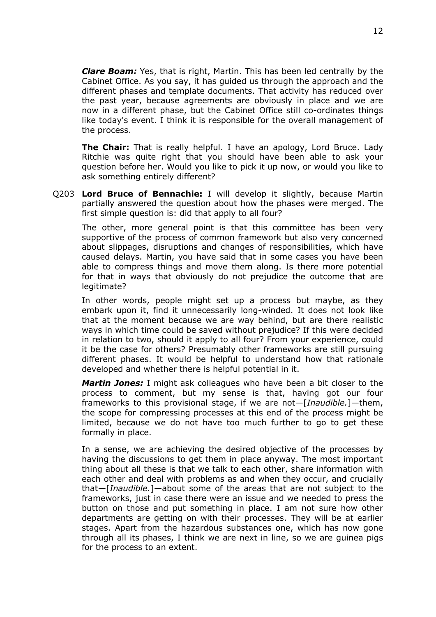*Clare Boam:* Yes, that is right, Martin. This has been led centrally by the Cabinet Office. As you say, it has guided us through the approach and the different phases and template documents. That activity has reduced over the past year, because agreements are obviously in place and we are now in a different phase, but the Cabinet Office still co-ordinates things like today's event. I think it is responsible for the overall management of the process.

**The Chair:** That is really helpful. I have an apology, Lord Bruce. Lady Ritchie was quite right that you should have been able to ask your question before her. Would you like to pick it up now, or would you like to ask something entirely different?

Q203 **Lord Bruce of Bennachie:** I will develop it slightly, because Martin partially answered the question about how the phases were merged. The first simple question is: did that apply to all four?

The other, more general point is that this committee has been very supportive of the process of common framework but also very concerned about slippages, disruptions and changes of responsibilities, which have caused delays. Martin, you have said that in some cases you have been able to compress things and move them along. Is there more potential for that in ways that obviously do not prejudice the outcome that are legitimate?

In other words, people might set up a process but maybe, as they embark upon it, find it unnecessarily long-winded. It does not look like that at the moment because we are way behind, but are there realistic ways in which time could be saved without prejudice? If this were decided in relation to two, should it apply to all four? From your experience, could it be the case for others? Presumably other frameworks are still pursuing different phases. It would be helpful to understand how that rationale developed and whether there is helpful potential in it.

*Martin Jones:* I might ask colleagues who have been a bit closer to the process to comment, but my sense is that, having got our four frameworks to this provisional stage, if we are not—[*Inaudible.*]—them, the scope for compressing processes at this end of the process might be limited, because we do not have too much further to go to get these formally in place.

In a sense, we are achieving the desired objective of the processes by having the discussions to get them in place anyway. The most important thing about all these is that we talk to each other, share information with each other and deal with problems as and when they occur, and crucially that—[*Inaudible.*]—about some of the areas that are not subject to the frameworks, just in case there were an issue and we needed to press the button on those and put something in place. I am not sure how other departments are getting on with their processes. They will be at earlier stages. Apart from the hazardous substances one, which has now gone through all its phases, I think we are next in line, so we are guinea pigs for the process to an extent.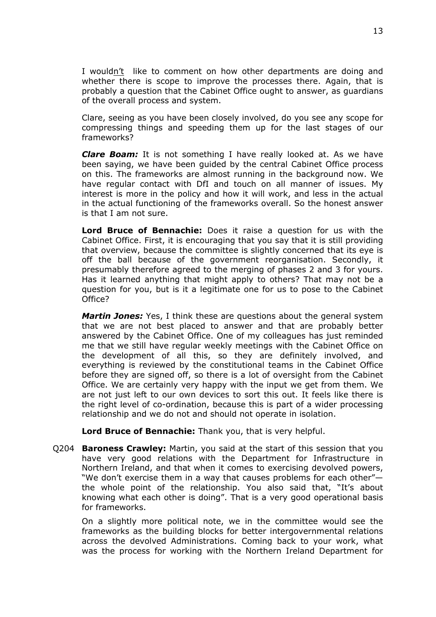I wouldn't like to comment on how other departments are doing and whether there is scope to improve the processes there. Again, that is probably a question that the Cabinet Office ought to answer, as guardians of the overall process and system.

Clare, seeing as you have been closely involved, do you see any scope for compressing things and speeding them up for the last stages of our frameworks?

*Clare Boam:* It is not something I have really looked at. As we have been saying, we have been guided by the central Cabinet Office process on this. The frameworks are almost running in the background now. We have regular contact with DfI and touch on all manner of issues. My interest is more in the policy and how it will work, and less in the actual in the actual functioning of the frameworks overall. So the honest answer is that I am not sure.

**Lord Bruce of Bennachie:** Does it raise a question for us with the Cabinet Office. First, it is encouraging that you say that it is still providing that overview, because the committee is slightly concerned that its eye is off the ball because of the government reorganisation. Secondly, it presumably therefore agreed to the merging of phases 2 and 3 for yours. Has it learned anything that might apply to others? That may not be a question for you, but is it a legitimate one for us to pose to the Cabinet Office?

*Martin Jones:* Yes, I think these are questions about the general system that we are not best placed to answer and that are probably better answered by the Cabinet Office. One of my colleagues has just reminded me that we still have regular weekly meetings with the Cabinet Office on the development of all this, so they are definitely involved, and everything is reviewed by the constitutional teams in the Cabinet Office before they are signed off, so there is a lot of oversight from the Cabinet Office. We are certainly very happy with the input we get from them. We are not just left to our own devices to sort this out. It feels like there is the right level of co-ordination, because this is part of a wider processing relationship and we do not and should not operate in isolation.

**Lord Bruce of Bennachie:** Thank you, that is very helpful.

Q204 **Baroness Crawley:** Martin, you said at the start of this session that you have very good relations with the Department for Infrastructure in Northern Ireland, and that when it comes to exercising devolved powers, "We don't exercise them in a way that causes problems for each other" the whole point of the relationship. You also said that, "It's about knowing what each other is doing". That is a very good operational basis for frameworks.

On a slightly more political note, we in the committee would see the frameworks as the building blocks for better intergovernmental relations across the devolved Administrations. Coming back to your work, what was the process for working with the Northern Ireland Department for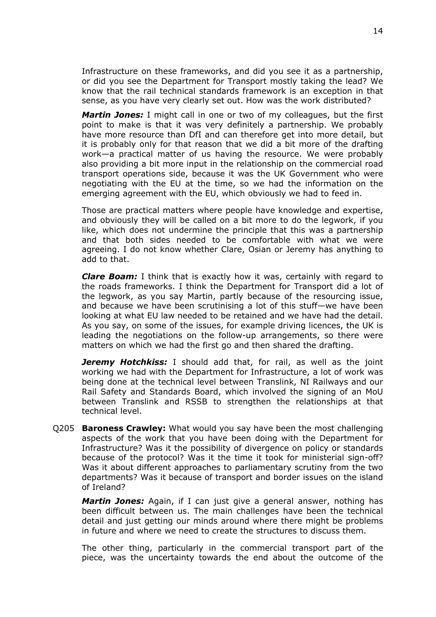Infrastructure on these frameworks, and did you see it as a partnership, or did you see the Department for Transport mostly taking the lead? We know that the rail technical standards framework is an exception in that sense, as you have very clearly set out. How was the work distributed?

*Martin Jones:* I might call in one or two of my colleagues, but the first point to make is that it was very definitely a partnership. We probably have more resource than DfI and can therefore get into more detail, but it is probably only for that reason that we did a bit more of the drafting work—a practical matter of us having the resource. We were probably also providing a bit more input in the relationship on the commercial road transport operations side, because it was the UK Government who were negotiating with the EU at the time, so we had the information on the emerging agreement with the EU, which obviously we had to feed in.

Those are practical matters where people have knowledge and expertise, and obviously they will be called on a bit more to do the legwork, if you like, which does not undermine the principle that this was a partnership and that both sides needed to be comfortable with what we were agreeing. I do not know whether Clare, Osian or Jeremy has anything to add to that.

*Clare Boam:* I think that is exactly how it was, certainly with regard to the roads frameworks. I think the Department for Transport did a lot of the legwork, as you say Martin, partly because of the resourcing issue, and because we have been scrutinising a lot of this stuff—we have been looking at what EU law needed to be retained and we have had the detail. As you say, on some of the issues, for example driving licences, the UK is leading the negotiations on the follow-up arrangements, so there were matters on which we had the first go and then shared the drafting.

*Jeremy Hotchkiss:* I should add that, for rail, as well as the joint working we had with the Department for Infrastructure, a lot of work was being done at the technical level between Translink, NI Railways and our Rail Safety and Standards Board, which involved the signing of an MoU between Translink and RSSB to strengthen the relationships at that technical level.

Q205 **Baroness Crawley:** What would you say have been the most challenging aspects of the work that you have been doing with the Department for Infrastructure? Was it the possibility of divergence on policy or standards because of the protocol? Was it the time it took for ministerial sign-off? Was it about different approaches to parliamentary scrutiny from the two departments? Was it because of transport and border issues on the island of Ireland?

*Martin Jones:* Again, if I can just give a general answer, nothing has been difficult between us. The main challenges have been the technical detail and just getting our minds around where there might be problems in future and where we need to create the structures to discuss them.

The other thing, particularly in the commercial transport part of the piece, was the uncertainty towards the end about the outcome of the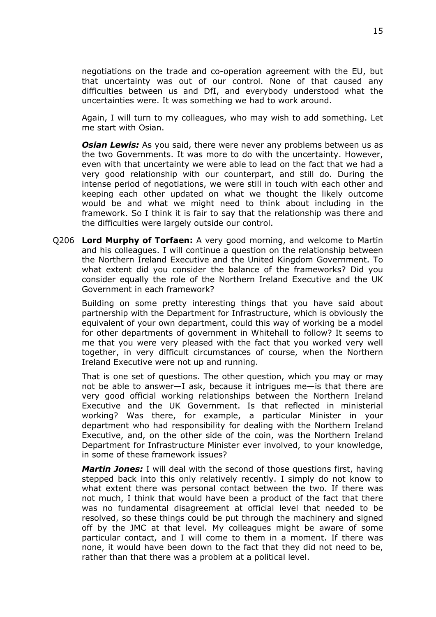negotiations on the trade and co-operation agreement with the EU, but that uncertainty was out of our control. None of that caused any difficulties between us and DfI, and everybody understood what the uncertainties were. It was something we had to work around.

Again, I will turn to my colleagues, who may wish to add something. Let me start with Osian.

*Osian Lewis:* As you said, there were never any problems between us as the two Governments. It was more to do with the uncertainty. However, even with that uncertainty we were able to lead on the fact that we had a very good relationship with our counterpart, and still do. During the intense period of negotiations, we were still in touch with each other and keeping each other updated on what we thought the likely outcome would be and what we might need to think about including in the framework. So I think it is fair to say that the relationship was there and the difficulties were largely outside our control.

Q206 **Lord Murphy of Torfaen:** A very good morning, and welcome to Martin and his colleagues. I will continue a question on the relationship between the Northern Ireland Executive and the United Kingdom Government. To what extent did you consider the balance of the frameworks? Did you consider equally the role of the Northern Ireland Executive and the UK Government in each framework?

Building on some pretty interesting things that you have said about partnership with the Department for Infrastructure, which is obviously the equivalent of your own department, could this way of working be a model for other departments of government in Whitehall to follow? It seems to me that you were very pleased with the fact that you worked very well together, in very difficult circumstances of course, when the Northern Ireland Executive were not up and running.

That is one set of questions. The other question, which you may or may not be able to answer—I ask, because it intrigues me—is that there are very good official working relationships between the Northern Ireland Executive and the UK Government. Is that reflected in ministerial working? Was there, for example, a particular Minister in your department who had responsibility for dealing with the Northern Ireland Executive, and, on the other side of the coin, was the Northern Ireland Department for Infrastructure Minister ever involved, to your knowledge, in some of these framework issues?

*Martin Jones:* I will deal with the second of those questions first, having stepped back into this only relatively recently. I simply do not know to what extent there was personal contact between the two. If there was not much, I think that would have been a product of the fact that there was no fundamental disagreement at official level that needed to be resolved, so these things could be put through the machinery and signed off by the JMC at that level. My colleagues might be aware of some particular contact, and I will come to them in a moment. If there was none, it would have been down to the fact that they did not need to be, rather than that there was a problem at a political level.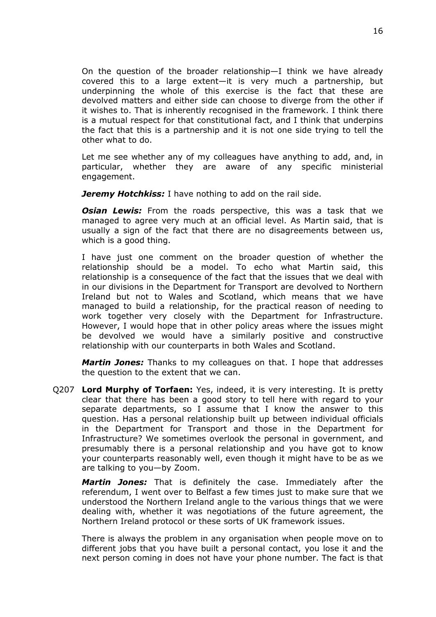On the question of the broader relationship—I think we have already covered this to a large extent—it is very much a partnership, but underpinning the whole of this exercise is the fact that these are devolved matters and either side can choose to diverge from the other if it wishes to. That is inherently recognised in the framework. I think there is a mutual respect for that constitutional fact, and I think that underpins the fact that this is a partnership and it is not one side trying to tell the other what to do.

Let me see whether any of my colleagues have anything to add, and, in particular, whether they are aware of any specific ministerial engagement.

**Jeremy Hotchkiss:** I have nothing to add on the rail side.

*Osian Lewis:* From the roads perspective, this was a task that we managed to agree very much at an official level. As Martin said, that is usually a sign of the fact that there are no disagreements between us, which is a good thing.

I have just one comment on the broader question of whether the relationship should be a model. To echo what Martin said, this relationship is a consequence of the fact that the issues that we deal with in our divisions in the Department for Transport are devolved to Northern Ireland but not to Wales and Scotland, which means that we have managed to build a relationship, for the practical reason of needing to work together very closely with the Department for Infrastructure. However, I would hope that in other policy areas where the issues might be devolved we would have a similarly positive and constructive relationship with our counterparts in both Wales and Scotland.

*Martin Jones:* Thanks to my colleagues on that. I hope that addresses the question to the extent that we can.

Q207 **Lord Murphy of Torfaen:** Yes, indeed, it is very interesting. It is pretty clear that there has been a good story to tell here with regard to your separate departments, so I assume that I know the answer to this question. Has a personal relationship built up between individual officials in the Department for Transport and those in the Department for Infrastructure? We sometimes overlook the personal in government, and presumably there is a personal relationship and you have got to know your counterparts reasonably well, even though it might have to be as we are talking to you—by Zoom.

*Martin Jones:* That is definitely the case. Immediately after the referendum, I went over to Belfast a few times just to make sure that we understood the Northern Ireland angle to the various things that we were dealing with, whether it was negotiations of the future agreement, the Northern Ireland protocol or these sorts of UK framework issues.

There is always the problem in any organisation when people move on to different jobs that you have built a personal contact, you lose it and the next person coming in does not have your phone number. The fact is that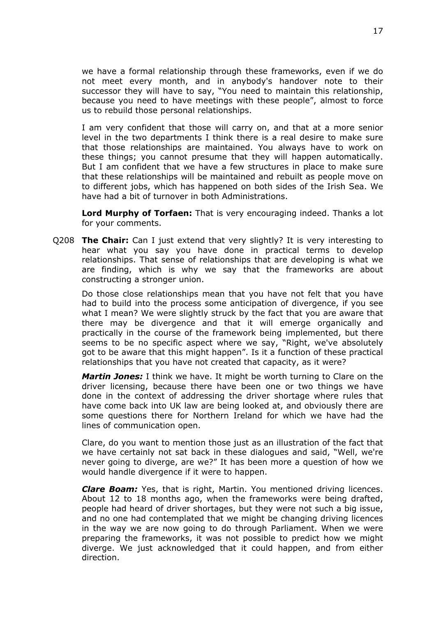we have a formal relationship through these frameworks, even if we do not meet every month, and in anybody's handover note to their successor they will have to say, "You need to maintain this relationship, because you need to have meetings with these people", almost to force us to rebuild those personal relationships.

I am very confident that those will carry on, and that at a more senior level in the two departments I think there is a real desire to make sure that those relationships are maintained. You always have to work on these things; you cannot presume that they will happen automatically. But I am confident that we have a few structures in place to make sure that these relationships will be maintained and rebuilt as people move on to different jobs, which has happened on both sides of the Irish Sea. We have had a bit of turnover in both Administrations.

**Lord Murphy of Torfaen:** That is very encouraging indeed. Thanks a lot for your comments.

Q208 **The Chair:** Can I just extend that very slightly? It is very interesting to hear what you say you have done in practical terms to develop relationships. That sense of relationships that are developing is what we are finding, which is why we say that the frameworks are about constructing a stronger union.

Do those close relationships mean that you have not felt that you have had to build into the process some anticipation of divergence, if you see what I mean? We were slightly struck by the fact that you are aware that there may be divergence and that it will emerge organically and practically in the course of the framework being implemented, but there seems to be no specific aspect where we say, "Right, we've absolutely got to be aware that this might happen". Is it a function of these practical relationships that you have not created that capacity, as it were?

*Martin Jones:* I think we have. It might be worth turning to Clare on the driver licensing, because there have been one or two things we have done in the context of addressing the driver shortage where rules that have come back into UK law are being looked at, and obviously there are some questions there for Northern Ireland for which we have had the lines of communication open.

Clare, do you want to mention those just as an illustration of the fact that we have certainly not sat back in these dialogues and said, "Well, we're never going to diverge, are we?" It has been more a question of how we would handle divergence if it were to happen.

*Clare Boam:* Yes, that is right, Martin. You mentioned driving licences. About 12 to 18 months ago, when the frameworks were being drafted, people had heard of driver shortages, but they were not such a big issue, and no one had contemplated that we might be changing driving licences in the way we are now going to do through Parliament. When we were preparing the frameworks, it was not possible to predict how we might diverge. We just acknowledged that it could happen, and from either direction.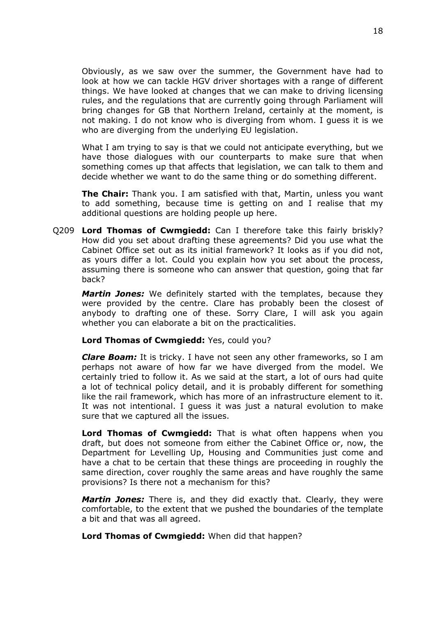Obviously, as we saw over the summer, the Government have had to look at how we can tackle HGV driver shortages with a range of different things. We have looked at changes that we can make to driving licensing rules, and the regulations that are currently going through Parliament will bring changes for GB that Northern Ireland, certainly at the moment, is not making. I do not know who is diverging from whom. I guess it is we who are diverging from the underlying EU legislation.

What I am trying to say is that we could not anticipate everything, but we have those dialogues with our counterparts to make sure that when something comes up that affects that legislation, we can talk to them and decide whether we want to do the same thing or do something different.

**The Chair:** Thank you. I am satisfied with that, Martin, unless you want to add something, because time is getting on and I realise that my additional questions are holding people up here.

Q209 **Lord Thomas of Cwmgiedd:** Can I therefore take this fairly briskly? How did you set about drafting these agreements? Did you use what the Cabinet Office set out as its initial framework? It looks as if you did not, as yours differ a lot. Could you explain how you set about the process, assuming there is someone who can answer that question, going that far back?

*Martin Jones:* We definitely started with the templates, because they were provided by the centre. Clare has probably been the closest of anybody to drafting one of these. Sorry Clare, I will ask you again whether you can elaborate a bit on the practicalities.

#### **Lord Thomas of Cwmgiedd:** Yes, could you?

*Clare Boam:* It is tricky. I have not seen any other frameworks, so I am perhaps not aware of how far we have diverged from the model. We certainly tried to follow it. As we said at the start, a lot of ours had quite a lot of technical policy detail, and it is probably different for something like the rail framework, which has more of an infrastructure element to it. It was not intentional. I guess it was just a natural evolution to make sure that we captured all the issues.

**Lord Thomas of Cwmgiedd:** That is what often happens when you draft, but does not someone from either the Cabinet Office or, now, the Department for Levelling Up, Housing and Communities just come and have a chat to be certain that these things are proceeding in roughly the same direction, cover roughly the same areas and have roughly the same provisions? Is there not a mechanism for this?

*Martin Jones:* There is, and they did exactly that. Clearly, they were comfortable, to the extent that we pushed the boundaries of the template a bit and that was all agreed.

**Lord Thomas of Cwmgiedd:** When did that happen?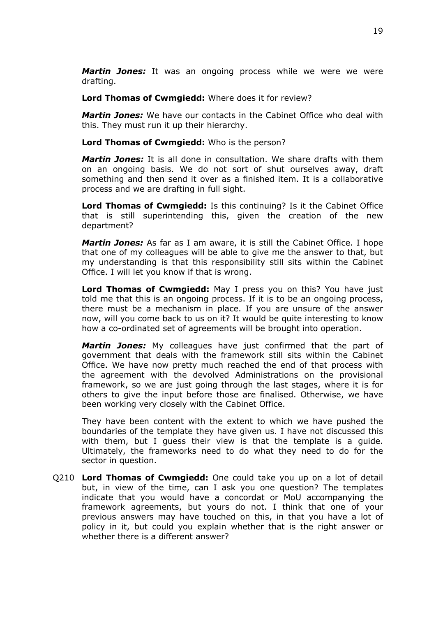*Martin Jones:* It was an ongoing process while we were we were drafting.

**Lord Thomas of Cwmgiedd:** Where does it for review?

*Martin Jones:* We have our contacts in the Cabinet Office who deal with this. They must run it up their hierarchy.

**Lord Thomas of Cwmgiedd:** Who is the person?

*Martin Jones:* It is all done in consultation. We share drafts with them on an ongoing basis. We do not sort of shut ourselves away, draft something and then send it over as a finished item. It is a collaborative process and we are drafting in full sight.

**Lord Thomas of Cwmgiedd:** Is this continuing? Is it the Cabinet Office that is still superintending this, given the creation of the new department?

*Martin Jones:* As far as I am aware, it is still the Cabinet Office. I hope that one of my colleagues will be able to give me the answer to that, but my understanding is that this responsibility still sits within the Cabinet Office. I will let you know if that is wrong.

**Lord Thomas of Cwmgiedd:** May I press you on this? You have just told me that this is an ongoing process. If it is to be an ongoing process, there must be a mechanism in place. If you are unsure of the answer now, will you come back to us on it? It would be quite interesting to know how a co-ordinated set of agreements will be brought into operation.

*Martin Jones:* My colleagues have just confirmed that the part of government that deals with the framework still sits within the Cabinet Office. We have now pretty much reached the end of that process with the agreement with the devolved Administrations on the provisional framework, so we are just going through the last stages, where it is for others to give the input before those are finalised. Otherwise, we have been working very closely with the Cabinet Office.

They have been content with the extent to which we have pushed the boundaries of the template they have given us. I have not discussed this with them, but I guess their view is that the template is a guide. Ultimately, the frameworks need to do what they need to do for the sector in question.

Q210 **Lord Thomas of Cwmgiedd:** One could take you up on a lot of detail but, in view of the time, can I ask you one question? The templates indicate that you would have a concordat or MoU accompanying the framework agreements, but yours do not. I think that one of your previous answers may have touched on this, in that you have a lot of policy in it, but could you explain whether that is the right answer or whether there is a different answer?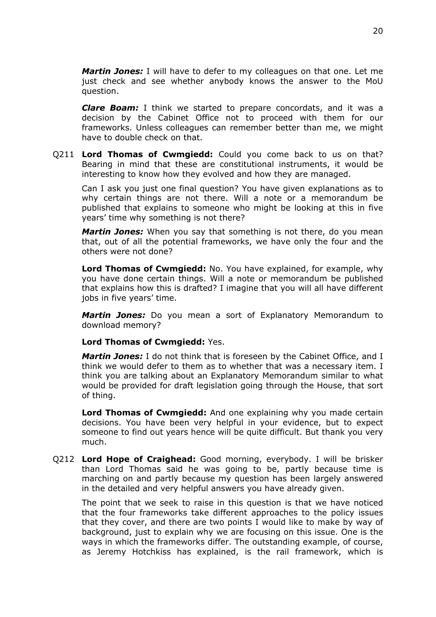*Martin Jones:* I will have to defer to my colleagues on that one. Let me just check and see whether anybody knows the answer to the MoU question.

*Clare Boam:* I think we started to prepare concordats, and it was a decision by the Cabinet Office not to proceed with them for our frameworks. Unless colleagues can remember better than me, we might have to double check on that.

Q211 **Lord Thomas of Cwmgiedd:** Could you come back to us on that? Bearing in mind that these are constitutional instruments, it would be interesting to know how they evolved and how they are managed.

Can I ask you just one final question? You have given explanations as to why certain things are not there. Will a note or a memorandum be published that explains to someone who might be looking at this in five years' time why something is not there?

*Martin Jones:* When you say that something is not there, do you mean that, out of all the potential frameworks, we have only the four and the others were not done?

**Lord Thomas of Cwmgiedd:** No. You have explained, for example, why you have done certain things. Will a note or memorandum be published that explains how this is drafted? I imagine that you will all have different jobs in five years' time.

*Martin Jones:* Do you mean a sort of Explanatory Memorandum to download memory?

### **Lord Thomas of Cwmgiedd:** Yes.

*Martin Jones:* I do not think that is foreseen by the Cabinet Office, and I think we would defer to them as to whether that was a necessary item. I think you are talking about an Explanatory Memorandum similar to what would be provided for draft legislation going through the House, that sort of thing.

**Lord Thomas of Cwmgiedd:** And one explaining why you made certain decisions. You have been very helpful in your evidence, but to expect someone to find out years hence will be quite difficult. But thank you very much.

Q212 **Lord Hope of Craighead:** Good morning, everybody. I will be brisker than Lord Thomas said he was going to be, partly because time is marching on and partly because my question has been largely answered in the detailed and very helpful answers you have already given.

The point that we seek to raise in this question is that we have noticed that the four frameworks take different approaches to the policy issues that they cover, and there are two points I would like to make by way of background, just to explain why we are focusing on this issue. One is the ways in which the frameworks differ. The outstanding example, of course, as Jeremy Hotchkiss has explained, is the rail framework, which is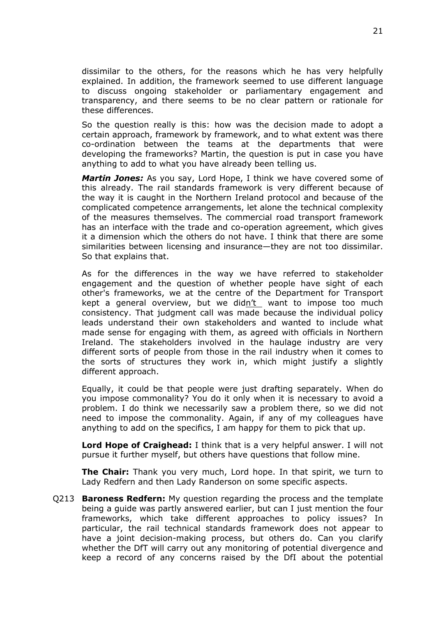dissimilar to the others, for the reasons which he has very helpfully explained. In addition, the framework seemed to use different language to discuss ongoing stakeholder or parliamentary engagement and transparency, and there seems to be no clear pattern or rationale for these differences.

So the question really is this: how was the decision made to adopt a certain approach, framework by framework, and to what extent was there co-ordination between the teams at the departments that were developing the frameworks? Martin, the question is put in case you have anything to add to what you have already been telling us.

*Martin Jones:* As you say, Lord Hope, I think we have covered some of this already. The rail standards framework is very different because of the way it is caught in the Northern Ireland protocol and because of the complicated competence arrangements, let alone the technical complexity of the measures themselves. The commercial road transport framework has an interface with the trade and co-operation agreement, which gives it a dimension which the others do not have. I think that there are some similarities between licensing and insurance—they are not too dissimilar. So that explains that.

As for the differences in the way we have referred to stakeholder engagement and the question of whether people have sight of each other's frameworks, we at the centre of the Department for Transport kept a general overview, but we didn't want to impose too much consistency. That judgment call was made because the individual policy leads understand their own stakeholders and wanted to include what made sense for engaging with them, as agreed with officials in Northern Ireland. The stakeholders involved in the haulage industry are very different sorts of people from those in the rail industry when it comes to the sorts of structures they work in, which might justify a slightly different approach.

Equally, it could be that people were just drafting separately. When do you impose commonality? You do it only when it is necessary to avoid a problem. I do think we necessarily saw a problem there, so we did not need to impose the commonality. Again, if any of my colleagues have anything to add on the specifics, I am happy for them to pick that up.

**Lord Hope of Craighead:** I think that is a very helpful answer. I will not pursue it further myself, but others have questions that follow mine.

**The Chair:** Thank you very much, Lord hope. In that spirit, we turn to Lady Redfern and then Lady Randerson on some specific aspects.

Q213 **Baroness Redfern:** My question regarding the process and the template being a guide was partly answered earlier, but can I just mention the four frameworks, which take different approaches to policy issues? In particular, the rail technical standards framework does not appear to have a joint decision-making process, but others do. Can you clarify whether the DfT will carry out any monitoring of potential divergence and keep a record of any concerns raised by the DfI about the potential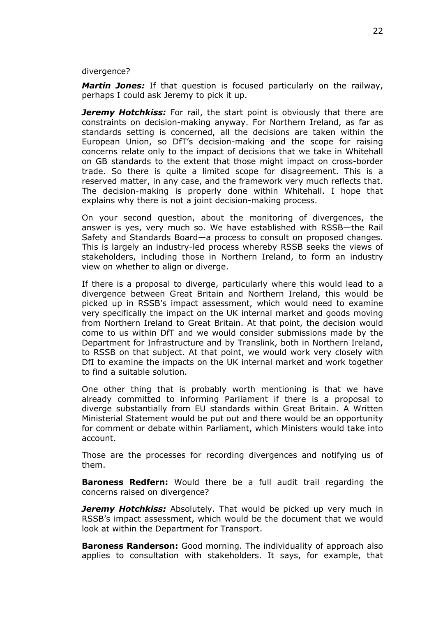divergence?

*Martin Jones:* If that question is focused particularly on the railway, perhaps I could ask Jeremy to pick it up.

*Jeremy Hotchkiss:* For rail, the start point is obviously that there are constraints on decision-making anyway. For Northern Ireland, as far as standards setting is concerned, all the decisions are taken within the European Union, so DfT's decision-making and the scope for raising concerns relate only to the impact of decisions that we take in Whitehall on GB standards to the extent that those might impact on cross-border trade. So there is quite a limited scope for disagreement. This is a reserved matter, in any case, and the framework very much reflects that. The decision-making is properly done within Whitehall. I hope that explains why there is not a joint decision-making process.

On your second question, about the monitoring of divergences, the answer is yes, very much so. We have established with RSSB—the Rail Safety and Standards Board—a process to consult on proposed changes. This is largely an industry-led process whereby RSSB seeks the views of stakeholders, including those in Northern Ireland, to form an industry view on whether to align or diverge.

If there is a proposal to diverge, particularly where this would lead to a divergence between Great Britain and Northern Ireland, this would be picked up in RSSB's impact assessment, which would need to examine very specifically the impact on the UK internal market and goods moving from Northern Ireland to Great Britain. At that point, the decision would come to us within DfT and we would consider submissions made by the Department for Infrastructure and by Translink, both in Northern Ireland, to RSSB on that subject. At that point, we would work very closely with DfI to examine the impacts on the UK internal market and work together to find a suitable solution.

One other thing that is probably worth mentioning is that we have already committed to informing Parliament if there is a proposal to diverge substantially from EU standards within Great Britain. A Written Ministerial Statement would be put out and there would be an opportunity for comment or debate within Parliament, which Ministers would take into account.

Those are the processes for recording divergences and notifying us of them.

**Baroness Redfern:** Would there be a full audit trail regarding the concerns raised on divergence?

*Jeremy Hotchkiss:* Absolutely. That would be picked up very much in RSSB's impact assessment, which would be the document that we would look at within the Department for Transport.

**Baroness Randerson:** Good morning. The individuality of approach also applies to consultation with stakeholders. It says, for example, that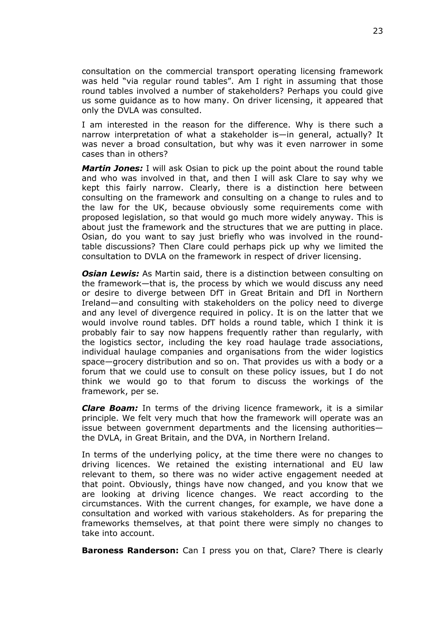consultation on the commercial transport operating licensing framework was held "via regular round tables". Am I right in assuming that those round tables involved a number of stakeholders? Perhaps you could give us some guidance as to how many. On driver licensing, it appeared that only the DVLA was consulted.

I am interested in the reason for the difference. Why is there such a narrow interpretation of what a stakeholder is—in general, actually? It was never a broad consultation, but why was it even narrower in some cases than in others?

*Martin Jones:* I will ask Osian to pick up the point about the round table and who was involved in that, and then I will ask Clare to say why we kept this fairly narrow. Clearly, there is a distinction here between consulting on the framework and consulting on a change to rules and to the law for the UK, because obviously some requirements come with proposed legislation, so that would go much more widely anyway. This is about just the framework and the structures that we are putting in place. Osian, do you want to say just briefly who was involved in the roundtable discussions? Then Clare could perhaps pick up why we limited the consultation to DVLA on the framework in respect of driver licensing.

*Osian Lewis:* As Martin said, there is a distinction between consulting on the framework—that is, the process by which we would discuss any need or desire to diverge between DfT in Great Britain and DfI in Northern Ireland—and consulting with stakeholders on the policy need to diverge and any level of divergence required in policy. It is on the latter that we would involve round tables. DfT holds a round table, which I think it is probably fair to say now happens frequently rather than regularly, with the logistics sector, including the key road haulage trade associations, individual haulage companies and organisations from the wider logistics space—grocery distribution and so on. That provides us with a body or a forum that we could use to consult on these policy issues, but I do not think we would go to that forum to discuss the workings of the framework, per se.

*Clare Boam:* In terms of the driving licence framework, it is a similar principle. We felt very much that how the framework will operate was an issue between government departments and the licensing authorities the DVLA, in Great Britain, and the DVA, in Northern Ireland.

In terms of the underlying policy, at the time there were no changes to driving licences. We retained the existing international and EU law relevant to them, so there was no wider active engagement needed at that point. Obviously, things have now changed, and you know that we are looking at driving licence changes. We react according to the circumstances. With the current changes, for example, we have done a consultation and worked with various stakeholders. As for preparing the frameworks themselves, at that point there were simply no changes to take into account.

**Baroness Randerson:** Can I press you on that, Clare? There is clearly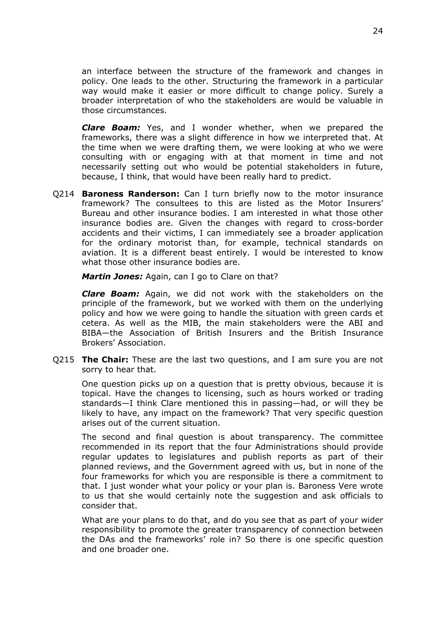an interface between the structure of the framework and changes in policy. One leads to the other. Structuring the framework in a particular way would make it easier or more difficult to change policy. Surely a broader interpretation of who the stakeholders are would be valuable in those circumstances.

*Clare Boam:* Yes, and I wonder whether, when we prepared the frameworks, there was a slight difference in how we interpreted that. At the time when we were drafting them, we were looking at who we were consulting with or engaging with at that moment in time and not necessarily setting out who would be potential stakeholders in future, because, I think, that would have been really hard to predict.

Q214 **Baroness Randerson:** Can I turn briefly now to the motor insurance framework? The consultees to this are listed as the Motor Insurers' Bureau and other insurance bodies. I am interested in what those other insurance bodies are. Given the changes with regard to cross-border accidents and their victims, I can immediately see a broader application for the ordinary motorist than, for example, technical standards on aviation. It is a different beast entirely. I would be interested to know what those other insurance bodies are.

*Martin Jones:* Again, can I go to Clare on that?

*Clare Boam:* Again, we did not work with the stakeholders on the principle of the framework, but we worked with them on the underlying policy and how we were going to handle the situation with green cards et cetera. As well as the MIB, the main stakeholders were the ABI and BIBA—the Association of British Insurers and the British Insurance Brokers' Association.

Q215 **The Chair:** These are the last two questions, and I am sure you are not sorry to hear that.

One question picks up on a question that is pretty obvious, because it is topical. Have the changes to licensing, such as hours worked or trading standards—I think Clare mentioned this in passing—had, or will they be likely to have, any impact on the framework? That very specific question arises out of the current situation.

The second and final question is about transparency. The committee recommended in its report that the four Administrations should provide regular updates to legislatures and publish reports as part of their planned reviews, and the Government agreed with us, but in none of the four frameworks for which you are responsible is there a commitment to that. I just wonder what your policy or your plan is. Baroness Vere wrote to us that she would certainly note the suggestion and ask officials to consider that.

What are your plans to do that, and do you see that as part of your wider responsibility to promote the greater transparency of connection between the DAs and the frameworks' role in? So there is one specific question and one broader one.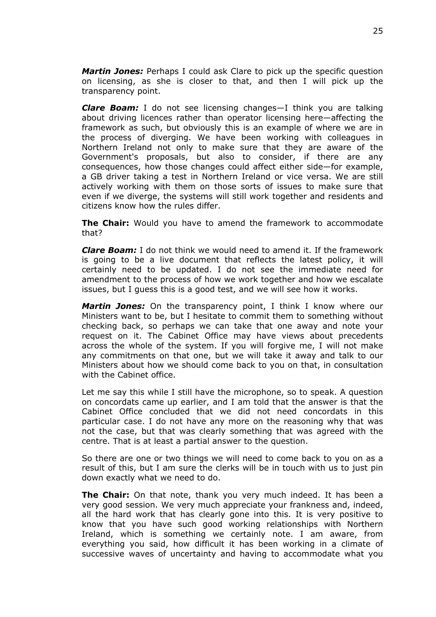*Martin Jones:* Perhaps I could ask Clare to pick up the specific question on licensing, as she is closer to that, and then I will pick up the transparency point.

*Clare Boam:* I do not see licensing changes—I think you are talking about driving licences rather than operator licensing here—affecting the framework as such, but obviously this is an example of where we are in the process of diverging. We have been working with colleagues in Northern Ireland not only to make sure that they are aware of the Government's proposals, but also to consider, if there are any consequences, how those changes could affect either side—for example, a GB driver taking a test in Northern Ireland or vice versa. We are still actively working with them on those sorts of issues to make sure that even if we diverge, the systems will still work together and residents and citizens know how the rules differ.

**The Chair:** Would you have to amend the framework to accommodate that?

*Clare Boam:* I do not think we would need to amend it. If the framework is going to be a live document that reflects the latest policy, it will certainly need to be updated. I do not see the immediate need for amendment to the process of how we work together and how we escalate issues, but I guess this is a good test, and we will see how it works.

*Martin Jones:* On the transparency point, I think I know where our Ministers want to be, but I hesitate to commit them to something without checking back, so perhaps we can take that one away and note your request on it. The Cabinet Office may have views about precedents across the whole of the system. If you will forgive me, I will not make any commitments on that one, but we will take it away and talk to our Ministers about how we should come back to you on that, in consultation with the Cabinet office.

Let me say this while I still have the microphone, so to speak. A question on concordats came up earlier, and I am told that the answer is that the Cabinet Office concluded that we did not need concordats in this particular case. I do not have any more on the reasoning why that was not the case, but that was clearly something that was agreed with the centre. That is at least a partial answer to the question.

So there are one or two things we will need to come back to you on as a result of this, but I am sure the clerks will be in touch with us to just pin down exactly what we need to do.

**The Chair:** On that note, thank you very much indeed. It has been a very good session. We very much appreciate your frankness and, indeed, all the hard work that has clearly gone into this. It is very positive to know that you have such good working relationships with Northern Ireland, which is something we certainly note. I am aware, from everything you said, how difficult it has been working in a climate of successive waves of uncertainty and having to accommodate what you